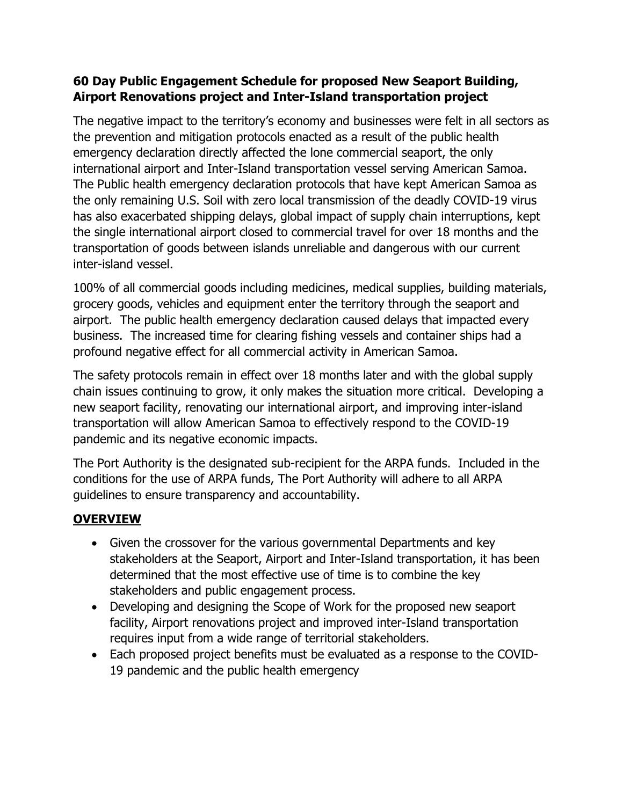### **60 Day Public Engagement Schedule for proposed New Seaport Building, Airport Renovations project and Inter-Island transportation project**

The negative impact to the territory's economy and businesses were felt in all sectors as the prevention and mitigation protocols enacted as a result of the public health emergency declaration directly affected the lone commercial seaport, the only international airport and Inter-Island transportation vessel serving American Samoa. The Public health emergency declaration protocols that have kept American Samoa as the only remaining U.S. Soil with zero local transmission of the deadly COVID-19 virus has also exacerbated shipping delays, global impact of supply chain interruptions, kept the single international airport closed to commercial travel for over 18 months and the transportation of goods between islands unreliable and dangerous with our current inter-island vessel.

100% of all commercial goods including medicines, medical supplies, building materials, grocery goods, vehicles and equipment enter the territory through the seaport and airport. The public health emergency declaration caused delays that impacted every business. The increased time for clearing fishing vessels and container ships had a profound negative effect for all commercial activity in American Samoa.

The safety protocols remain in effect over 18 months later and with the global supply chain issues continuing to grow, it only makes the situation more critical. Developing a new seaport facility, renovating our international airport, and improving inter-island transportation will allow American Samoa to effectively respond to the COVID-19 pandemic and its negative economic impacts.

The Port Authority is the designated sub-recipient for the ARPA funds. Included in the conditions for the use of ARPA funds, The Port Authority will adhere to all ARPA guidelines to ensure transparency and accountability.

## **OVERVIEW**

- Given the crossover for the various governmental Departments and key stakeholders at the Seaport, Airport and Inter-Island transportation, it has been determined that the most effective use of time is to combine the key stakeholders and public engagement process.
- Developing and designing the Scope of Work for the proposed new seaport facility, Airport renovations project and improved inter-Island transportation requires input from a wide range of territorial stakeholders.
- Each proposed project benefits must be evaluated as a response to the COVID-19 pandemic and the public health emergency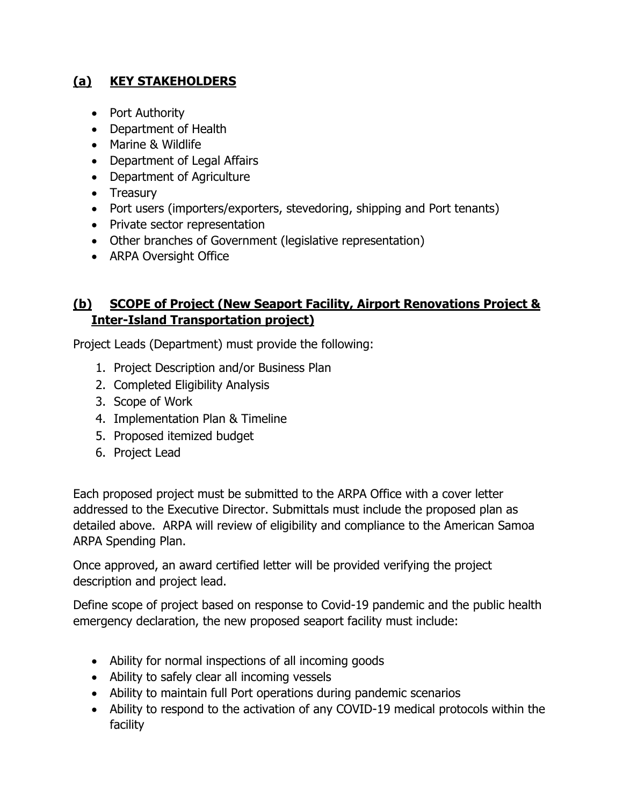## **(a) KEY STAKEHOLDERS**

- Port Authority
- Department of Health
- Marine & Wildlife
- Department of Legal Affairs
- Department of Agriculture
- Treasury
- Port users (importers/exporters, stevedoring, shipping and Port tenants)
- Private sector representation
- Other branches of Government (legislative representation)
- ARPA Oversight Office

### **(b) SCOPE of Project (New Seaport Facility, Airport Renovations Project & Inter-Island Transportation project)**

Project Leads (Department) must provide the following:

- 1. Project Description and/or Business Plan
- 2. Completed Eligibility Analysis
- 3. Scope of Work
- 4. Implementation Plan & Timeline
- 5. Proposed itemized budget
- 6. Project Lead

Each proposed project must be submitted to the ARPA Office with a cover letter addressed to the Executive Director. Submittals must include the proposed plan as detailed above. ARPA will review of eligibility and compliance to the American Samoa ARPA Spending Plan.

Once approved, an award certified letter will be provided verifying the project description and project lead.

Define scope of project based on response to Covid-19 pandemic and the public health emergency declaration, the new proposed seaport facility must include:

- Ability for normal inspections of all incoming goods
- Ability to safely clear all incoming vessels
- Ability to maintain full Port operations during pandemic scenarios
- Ability to respond to the activation of any COVID-19 medical protocols within the facility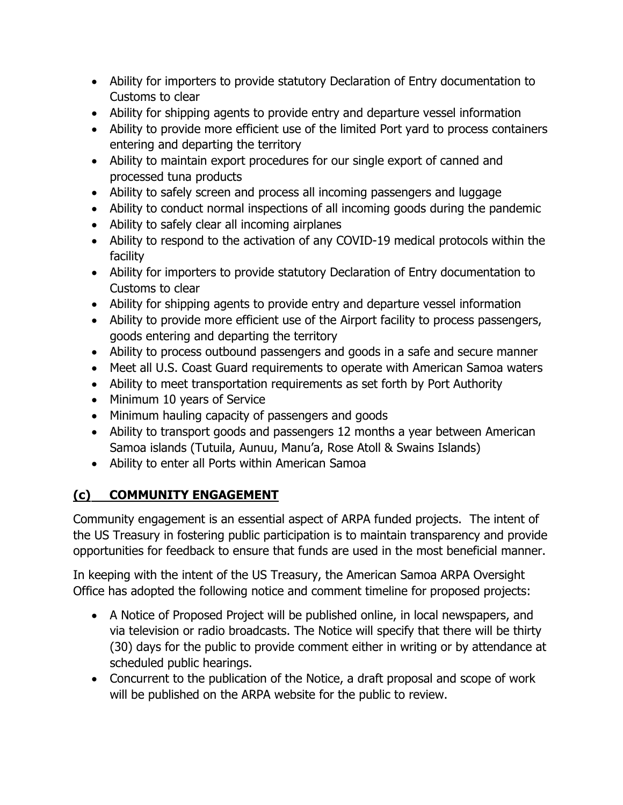- Ability for importers to provide statutory Declaration of Entry documentation to Customs to clear
- Ability for shipping agents to provide entry and departure vessel information
- Ability to provide more efficient use of the limited Port yard to process containers entering and departing the territory
- Ability to maintain export procedures for our single export of canned and processed tuna products
- Ability to safely screen and process all incoming passengers and luggage
- Ability to conduct normal inspections of all incoming goods during the pandemic
- Ability to safely clear all incoming airplanes
- Ability to respond to the activation of any COVID-19 medical protocols within the facility
- Ability for importers to provide statutory Declaration of Entry documentation to Customs to clear
- Ability for shipping agents to provide entry and departure vessel information
- Ability to provide more efficient use of the Airport facility to process passengers, goods entering and departing the territory
- Ability to process outbound passengers and goods in a safe and secure manner
- Meet all U.S. Coast Guard requirements to operate with American Samoa waters
- Ability to meet transportation requirements as set forth by Port Authority
- Minimum 10 years of Service
- Minimum hauling capacity of passengers and goods
- Ability to transport goods and passengers 12 months a year between American Samoa islands (Tutuila, Aunuu, Manu'a, Rose Atoll & Swains Islands)
- Ability to enter all Ports within American Samoa

# **(c) COMMUNITY ENGAGEMENT**

Community engagement is an essential aspect of ARPA funded projects. The intent of the US Treasury in fostering public participation is to maintain transparency and provide opportunities for feedback to ensure that funds are used in the most beneficial manner.

In keeping with the intent of the US Treasury, the American Samoa ARPA Oversight Office has adopted the following notice and comment timeline for proposed projects:

- A Notice of Proposed Project will be published online, in local newspapers, and via television or radio broadcasts. The Notice will specify that there will be thirty (30) days for the public to provide comment either in writing or by attendance at scheduled public hearings.
- Concurrent to the publication of the Notice, a draft proposal and scope of work will be published on the ARPA website for the public to review.